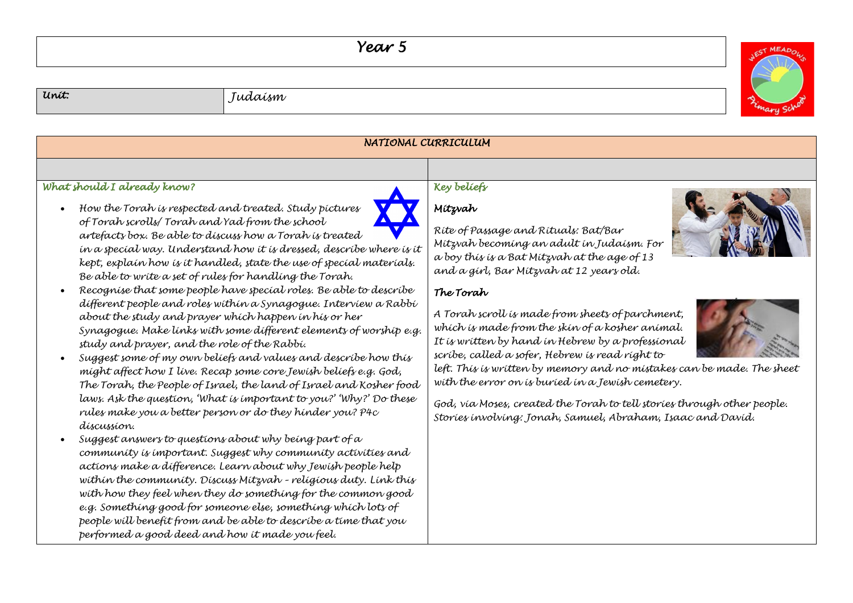## *Year 5*



| Unit.                                                                                                                                                                                                                                                                                                                                           | Judaísm                                                                                                                                                                                                                                                                                                                                                                                                                                                                                                                                                                                                                                                                                                                                                                                                                                                                                                                                                                                                                                                                                                                                                                                                                                                                                                   |                                                                                                                                                                                                                                                                                                                                                                                                                                                                                                                                                                                                                                                                                                              |  |  |
|-------------------------------------------------------------------------------------------------------------------------------------------------------------------------------------------------------------------------------------------------------------------------------------------------------------------------------------------------|-----------------------------------------------------------------------------------------------------------------------------------------------------------------------------------------------------------------------------------------------------------------------------------------------------------------------------------------------------------------------------------------------------------------------------------------------------------------------------------------------------------------------------------------------------------------------------------------------------------------------------------------------------------------------------------------------------------------------------------------------------------------------------------------------------------------------------------------------------------------------------------------------------------------------------------------------------------------------------------------------------------------------------------------------------------------------------------------------------------------------------------------------------------------------------------------------------------------------------------------------------------------------------------------------------------|--------------------------------------------------------------------------------------------------------------------------------------------------------------------------------------------------------------------------------------------------------------------------------------------------------------------------------------------------------------------------------------------------------------------------------------------------------------------------------------------------------------------------------------------------------------------------------------------------------------------------------------------------------------------------------------------------------------|--|--|
| NATIONAL CURRICULUM                                                                                                                                                                                                                                                                                                                             |                                                                                                                                                                                                                                                                                                                                                                                                                                                                                                                                                                                                                                                                                                                                                                                                                                                                                                                                                                                                                                                                                                                                                                                                                                                                                                           |                                                                                                                                                                                                                                                                                                                                                                                                                                                                                                                                                                                                                                                                                                              |  |  |
| What should I already know?<br>How the Torah is respected and treated. Study pictures<br>$\bullet$<br>of Torah scrolls/ Torah and Yad from the school<br>Be able to write a set of rules for handling the Torah.<br>study and prayer, and the role of the Rabbi.<br>díscussion.<br>$\bullet$<br>performed a good deed and how it made you feel. | artefacts box. Be able to discuss how a Torah is treated<br>in a special way. Understand how it is dressed, describe where is it<br>kept, explain how is it handled, state the use of special materials.<br>Recognise that some people have special roles. Be able to describe<br>different people and roles within a Synagogue. Interview a Rabbi<br>about the study and prayer which happen in his or her<br>Synagogue. Make links with some different elements of worship e.g.<br>Suggest some of my own beliefs and values and describe how this<br>might affect how I live. Recap some core Jewish beliefs e.g. God,<br>The Torah, the People of Israel, the land of Israel and Kosher food<br>laws. Ask the question, 'What is important to you?' Why?' Do these<br>rules make you a better person or do they hinder you? P4c<br>Suggest answers to questions about why being part of a<br>community is important. Suggest why community activities and<br>actions make a difference. Learn about why Jewish people help<br>within the community. Discuss Mitzvah - religious duty. Link this<br>with how they feel when they do something for the common good<br>e.g. Something good for someone else, something which lots of<br>people will benefit from and be able to describe a time that you | Key beliefs<br>Mítzvah<br>Rite of Passage and Rituals: Bat/Bar<br>Mítzvah becomíng an adult ín Judaísm. For<br>a boy this is a Bat Mitzvah at the age of 13<br>and a girl, Bar Mitzvah at 12 years old.<br>The Torah<br>A Torah scroll is made from sheets of parchment,<br>which is made from the skin of a kosher animal.<br>It is written by hand in Hebrew by a professional<br>scríbe, called a sofer, Hebrew is read right to<br>left. This is written by memory and no mistakes can be made. The sheet<br>with the error on is buried in a Jewish cemetery.<br>God, via Moses, created the Torah to tell stories through other people.<br>Stories involving: Jonah, Samuel, Abraham, Isaac and David. |  |  |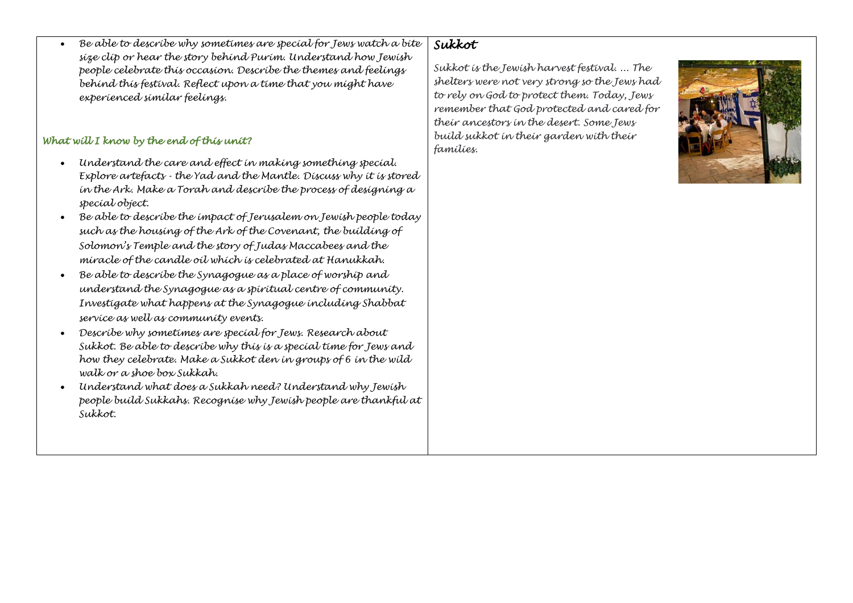## *Sukkot*

*size clip or hear the story behind Purim. Understand how Jewish people celebrate this occasion. Describe the themes and feelings behind this festival. Reflect upon a time that you might have* 

## *What will I know by the end of this unit?*

*experienced similar feelings.*

• *Understand the care and effect in making something special. Explore artefacts - the Yad and the Mantle. Discuss why it is stored in the Ark. Make a Torah and describe the process of designing a special object.*

• *Be able to describe why sometimes are special for Jews watch a bite* 

- *Be able to describe the impact of Jerusalem on Jewish people today such as the housing of the Ark of the Covenant, the building of Solomon's Temple and the story of Judas Maccabees and the miracle of the candle oil which is celebrated at Hanukkah.*
- *Be able to describe the Synagogue as a place of worship and understand the Synagogue as a spiritual centre of community. Investigate what happens at the Synagogue including Shabbat service as well as community events.*
- *Describe why sometimes are special for Jews. Research about Sukkot. Be able to describe why this is a special time for Jews and how they celebrate. Make a Sukkot den in groups of 6 in the wild walk or a shoe box Sukkah.*
- *Understand what does a Sukkah need? Understand why Jewish people build Sukkahs. Recognise why Jewish people are thankful at Sukkot.*

*Sukkot is the Jewish harvest festival. ... The shelters were not very strong so the Jews had to rely on God to protect them. Today, Jews remember that God protected and cared for their ancestors in the desert. Some Jews build sukkot in their garden with their families.*